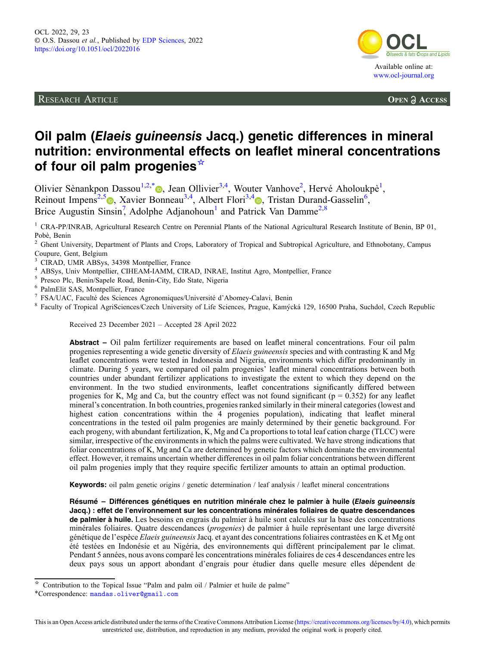RESEARCH ARTICLE



**OPEN A ACCESS** 

# Oil palm (Elaeis guineensis Jacq.) genetic differences in mineral nutrition: environmental effects on leaflet mineral concentrations of four oil palm progenies<sup>☆</sup>

Olivier Sènankpon Dassou<sup>1[,](https://orcid.org/0000-0003-3293-5188)2,\*</sup>®, Jean Ollivier<sup>3,4</sup>, Wouter Vanhove<sup>2</sup>, Hervé Aholoukpè<sup>1</sup>, Reinout Impens<sup>2[,](https://orcid.org/0000-0002-6962-5792)5</sup><sup>®</sup>, Xavier Bonneau<sup>3,4</sup>, Albert Flori<sup>3,4</sup><sup>®</sup>, Tristan Durand-Gasselin<sup>6</sup>, Brice Augustin Sinsin<sup>7</sup>, Adolphe Adjanohoun<sup>1</sup> and Patrick Van Damme<sup>2,8</sup>

<sup>1</sup> CRA-PP/INRAB, Agricultural Research Centre on Perennial Plants of the National Agricultural Research Institute of Benin, BP 01, Pobè, Benin

<sup>2</sup> Ghent University, Department of Plants and Crops, Laboratory of Tropical and Subtropical Agriculture, and Ethnobotany, Campus Coupure, Gent, Belgium<br>
<sup>3</sup> CIRAD, UMR ABSys, 34398 Montpellier, France

- 
- 
- 
- 
- 
- <sup>4</sup> ABSys, Univ Montpellier, CIHEAM-IAMM, CIRAD, INRAE, Institut Agro, Montpellier, France<br>
<sup>5</sup> Presco Plc, Benin/Sapele Road, Benin-City, Edo State, Nigeria<br>
<sup>6</sup> PalmElit SAS, Montpellier, France<br>
<sup>7</sup> FSA/UAC, Faculté des

Received 23 December 2021 – Accepted 28 April 2022

Abstract – Oil palm fertilizer requirements are based on leaflet mineral concentrations. Four oil palm progenies representing a wide genetic diversity of Elaeis guineensis species and with contrasting K and Mg leaflet concentrations were tested in Indonesia and Nigeria, environments which differ predominantly in climate. During 5 years, we compared oil palm progenies' leaflet mineral concentrations between both countries under abundant fertilizer applications to investigate the extent to which they depend on the environment. In the two studied environments, leaflet concentrations significantly differed between progenies for K, Mg and Ca, but the country effect was not found significant ( $p = 0.352$ ) for any leaflet mineral's concentration. In both countries, progenies ranked similarly in their mineral categories (lowest and highest cation concentrations within the 4 progenies population), indicating that leaflet mineral concentrations in the tested oil palm progenies are mainly determined by their genetic background. For each progeny, with abundant fertilization, K, Mg and Ca proportions to total leaf cation charge (TLCC) were similar, irrespective of the environments in which the palms were cultivated. We have strong indications that foliar concentrations of K, Mg and Ca are determined by genetic factors which dominate the environmental effect. However, it remains uncertain whether differences in oil palm foliar concentrations between different oil palm progenies imply that they require specific fertilizer amounts to attain an optimal production.

Keywords: oil palm genetic origins / genetic determination / leaf analysis / leaflet mineral concentrations

Résumé – Différences génétiques en nutrition minérale chez le palmier à huile (Elaeis guineensis Jacq.) : effet de l'environnement sur les concentrations minérales foliaires de quatre descendances de palmier à huile. Les besoins en engrais du palmier à huile sont calculés sur la base des concentrations minérales foliaires. Quatre descendances (progenies) de palmier à huile représentant une large diversité génétique de l'espèce Elaeis guineensisJacq. et ayant des concentrations foliaires contrastées en K et Mg ont été testées en Indonésie et au Nigéria, des environnements qui diffèrent principalement par le climat. Pendant 5 années, nous avons comparé les concentrations minérales foliaires de ces 4 descendances entre les deux pays sous un apport abondant d'engrais pour étudier dans quelle mesure elles dépendent de

 $\star$  Contribution to the Topical Issue "Palm and palm oil / Palmier et huile de palme"

<sup>\*</sup>Correspondence: [mandas.oliver@gmail.com](mailto:mandas.oliver@gmail.com)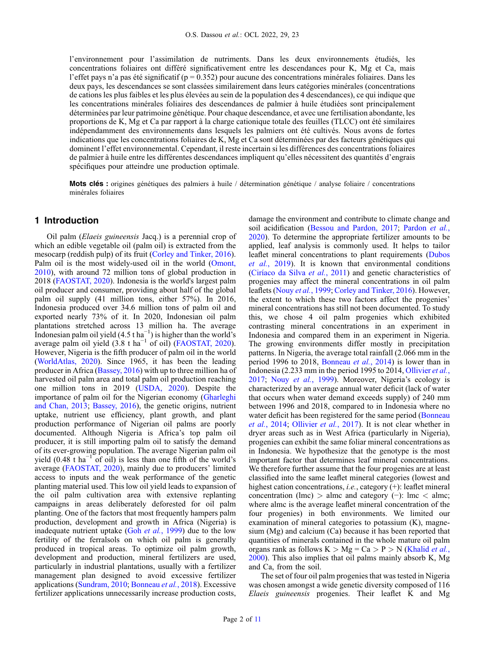l'environnement pour l'assimilation de nutriments. Dans les deux environnements étudiés, les concentrations foliaires ont différé significativement entre les descendances pour K, Mg et Ca, mais l'effet pays n'a pas été significatif ( $p = 0.352$ ) pour aucune des concentrations minérales foliaires. Dans les deux pays, les descendances se sont classées similairement dans leurs catégories minérales (concentrations de cations les plus faibles et les plus élevées au sein de la population des 4 descendances), ce qui indique que les concentrations minérales foliaires des descendances de palmier à huile étudiées sont principalement déterminées par leur patrimoine génétique. Pour chaque descendance, et avec une fertilisation abondante, les proportions de K, Mg et Ca par rapport à la charge cationique totale des feuilles (TLCC) ont été similaires indépendamment des environnements dans lesquels les palmiers ont été cultivés. Nous avons de fortes indications que les concentrations foliaires de K, Mg et Ca sont déterminées par des facteurs génétiques qui dominent l'effet environnemental. Cependant, il reste incertain si les différences des concentrations foliaires de palmier à huile entre les différentes descendances impliquent qu'elles nécessitent des quantités d'engrais spécifiques pour atteindre une production optimale.

Mots clés : origines génétiques des palmiers à huile / détermination génétique / analyse foliaire / concentrations minérales foliaires

# 1 Introduction

Oil palm (Elaeis guineensis Jacq.) is a perennial crop of which an edible vegetable oil (palm oil) is extracted from the mesocarp (reddish pulp) of its fruit ([Corley and Tinker, 2016](#page-9-0)). Palm oil is the most widely-used oil in the world ([Omont,](#page-10-0) [2010](#page-10-0)), with around 72 million tons of global production in 2018 [\(FAOSTAT, 2020](#page-9-0)). Indonesia is the world's largest palm oil producer and consumer, providing about half of the global palm oil supply (41 million tons, either 57%). In 2016, Indonesia produced over 34.6 million tons of palm oil and exported nearly 73% of it. In 2020, Indonesian oil palm plantations stretched across 13 million ha. The average Indonesian palm oil yield (4.5 t ha<sup>-1</sup>) is higher than the world's average palm oil yield  $(3.8 \text{ t} \text{ ha}^{-1} \text{ of } \text{oil})$  ([FAOSTAT, 2020](#page-9-0)). However, Nigeria is the fifth producer of palm oil in the world ([WorldAtlas, 2020\)](#page-10-0). Since 1965, it has been the leading producer in Africa ([Bassey, 2016\)](#page-9-0) with up to three million ha of harvested oil palm area and total palm oil production reaching one million tons in 2019 ([USDA, 2020\)](#page-10-0). Despite the importance of palm oil for the Nigerian economy ([Gharleghi](#page-9-0) [and Chan, 2013;](#page-9-0) [Bassey, 2016\)](#page-9-0), the genetic origins, nutrient uptake, nutrient use efficiency, plant growth, and plant production performance of Nigerian oil palms are poorly documented. Although Nigeria is Africa's top palm oil producer, it is still importing palm oil to satisfy the demand of its ever-growing population. The average Nigerian palm oil yield  $(0.48 \text{ t} \text{ ha}^{-1} \text{ of } 0)$  is less than one fifth of the world's average [\(FAOSTAT, 2020](#page-9-0)), mainly due to producers' limited access to inputs and the weak performance of the genetic planting material used. This low oil yield leads to expansion of the oil palm cultivation area with extensive replanting campaigns in areas deliberately deforested for oil palm planting. One of the factors that most frequently hampers palm production, development and growth in Africa (Nigeria) is inadequate nutrient uptake (Goh et al.[, 1999\)](#page-9-0) due to the low fertility of the ferralsols on which oil palm is generally produced in tropical areas. To optimize oil palm growth, development and production, mineral fertilizers are used, particularly in industrial plantations, usually with a fertilizer management plan designed to avoid excessive fertilizer applications ([Sundram, 2010](#page-10-0); [Bonneau](#page-9-0) et al., 2018). Excessive fertilizer applications unnecessarily increase production costs,

damage the environment and contribute to climate change and soil acidification [\(Bessou and Pardon, 2017](#page-9-0); [Pardon](#page-10-0) et al., [2020](#page-10-0)). To determine the appropriate fertilizer amounts to be applied, leaf analysis is commonly used. It helps to tailor leaflet mineral concentrations to plant requirements ([Dubos](#page-9-0) et al.[, 2019](#page-9-0)). It is known that environmental conditions ([Ciríaco da Silva](#page-9-0) et al., 2011) and genetic characteristics of progenies may affect the mineral concentrations in oil palm leaflets (Nouy et al.[, 1999](#page-10-0); [Corley and Tinker, 2016](#page-9-0)). However, the extent to which these two factors affect the progenies' mineral concentrations has still not been documented. To study this, we chose 4 oil palm progenies which exhibited contrasting mineral concentrations in an experiment in Indonesia and compared them in an experiment in Nigeria. The growing environments differ mostly in precipitation patterns. In Nigeria, the average total rainfall (2.066 mm in the period 1996 to 2018, [Bonneau](#page-9-0) et al., 2014) is lower than in Indonesia (2.233 mm in the period 1995 to 2014, [Ollivier](#page-10-0) et al., [2017](#page-10-0); Nouy et al.[, 1999](#page-10-0)). Moreover, Nigeria's ecology is characterized by an average annual water deficit (lack of water that occurs when water demand exceeds supply) of 240 mm between 1996 and 2018, compared to in Indonesia where no water deficit has been registered for the same period [\(Bonneau](#page-9-0)) et al.[, 2014;](#page-9-0) [Ollivier](#page-10-0) et al., 2017). It is not clear whether in dryer areas such as in West Africa (particularly in Nigeria), progenies can exhibit the same foliar mineral concentrations as in Indonesia. We hypothesize that the genotype is the most important factor that determines leaf mineral concentrations. We therefore further assume that the four progenies are at least classified into the same leaflet mineral categories (lowest and highest cation concentrations, *i.e.*, category (+): leaflet mineral concentration (lmc) > almc and category (−): lmc < almc; where almc is the average leaflet mineral concentration of the four progenies) in both environments. We limited our examination of mineral categories to potassium (K), magnesium (Mg) and calcium (Ca) because it has been reported that quantities of minerals contained in the whole mature oil palm organs rank as follows  $K > Mg = Ca > P > N$  [\(Khalid](#page-9-0) *et al.*, [2000](#page-9-0)). This also implies that oil palms mainly absorb K, Mg and Ca, from the soil.

The set of four oil palm progenies that was tested in Nigeria was chosen amongst a wide genetic diversity composed of 116 Elaeis guineensis progenies. Their leaflet K and Mg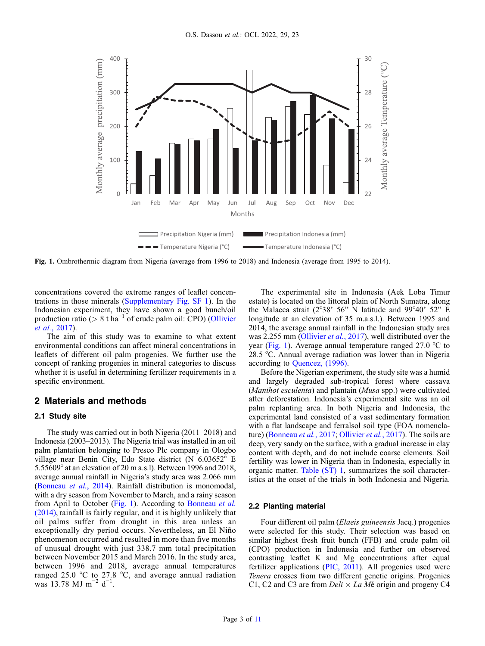<span id="page-2-0"></span>

Fig. 1. Ombrothermic diagram from Nigeria (average from 1996 to 2018) and Indonesia (average from 1995 to 2014).

concentrations covered the extreme ranges of leaflet concentrations in those minerals [\(Supplementary Fig. SF 1](http://www.ocl.fr/10.1051/ocl/2022016/olm)). In the Indonesian experiment, they have shown a good bunch/oil production ratio ( $> 8$  t ha<sup>-1</sup> of crude palm oil: CPO) ([Ollivier](#page-10-0) et al.[, 2017](#page-10-0)).

The aim of this study was to examine to what extent environmental conditions can affect mineral concentrations in leaflets of different oil palm progenies. We further use the concept of ranking progenies in mineral categories to discuss whether it is useful in determining fertilizer requirements in a specific environment.

## 2 Materials and methods

## 2.1 Study site

The study was carried out in both Nigeria (2011–2018) and Indonesia (2003–2013). The Nigeria trial was installed in an oil palm plantation belonging to Presco Plc company in Ologbo village near Benin City, Edo State district (N 6.03652° E 5.55609° at an elevation of 20 m a.s.l). Between 1996 and 2018, average annual rainfall in Nigeria's study area was 2.066 mm ([Bonneau](#page-9-0) et al., 2014). Rainfall distribution is monomodal, with a dry season from November to March, and a rainy season from April to October (Fig. 1). According to [Bonneau](#page-9-0) et al. [\(2014\),](#page-9-0) rainfall is fairly regular, and it is highly unlikely that oil palms suffer from drought in this area unless an exceptionally dry period occurs. Nevertheless, an El Niño phenomenon occurred and resulted in more than five months of unusual drought with just 338.7 mm total precipitation between November 2015 and March 2016. In the study area, between 1996 and 2018, average annual temperatures ranged 25.0 °C to 27.8 °C, and average annual radiation was 13.78 MJ m<sup>-2</sup> d<sup>-1</sup>.

The experimental site in Indonesia (Aek Loba Timur estate) is located on the littoral plain of North Sumatra, along the Malacca strait ( $2^{\circ}38'$  56" N latitude and  $99^{\circ}40'$  52" E longitude at an elevation of 35 m.a.s.l.). Between 1995 and 2014, the average annual rainfall in the Indonesian study area was 2.255 mm ([Ollivier](#page-10-0) et al., 2017), well distributed over the year (Fig. 1). Average annual temperature ranged 27.0 °C to 28.5 °C. Annual average radiation was lower than in Nigeria according to [Quencez, \(1996\)](#page-10-0).

Before the Nigerian experiment, the study site was a humid and largely degraded sub-tropical forest where cassava (Manihot esculenta) and plantain (Musa spp.) were cultivated after deforestation. Indonesia's experimental site was an oil palm replanting area. In both Nigeria and Indonesia, the experimental land consisted of a vast sedimentary formation with a flat landscape and ferralsol soil type (FOA nomenclature) ([Bonneau](#page-9-0) et al., 2017; [Ollivier](#page-10-0) et al., 2017). The soils are deep, very sandy on the surface, with a gradual increase in clay content with depth, and do not include coarse elements. Soil fertility was lower in Nigeria than in Indonesia, especially in organic matter. [Table \(ST\) 1](http://www.ocl.fr/10.1051/ocl/2022016/olm), summarizes the soil characteristics at the onset of the trials in both Indonesia and Nigeria.

#### 2.2 Planting material

Four different oil palm (Elaeis guineensis Jacq.) progenies were selected for this study. Their selection was based on similar highest fresh fruit bunch (FFB) and crude palm oil (CPO) production in Indonesia and further on observed contrasting leaflet K and Mg concentrations after equal fertilizer applications ([PIC, 2011](#page-10-0)). All progenies used were Tenera crosses from two different genetic origins. Progenies C1, C2 and C3 are from  $Deli \times La M\acute{e}$  origin and progeny C4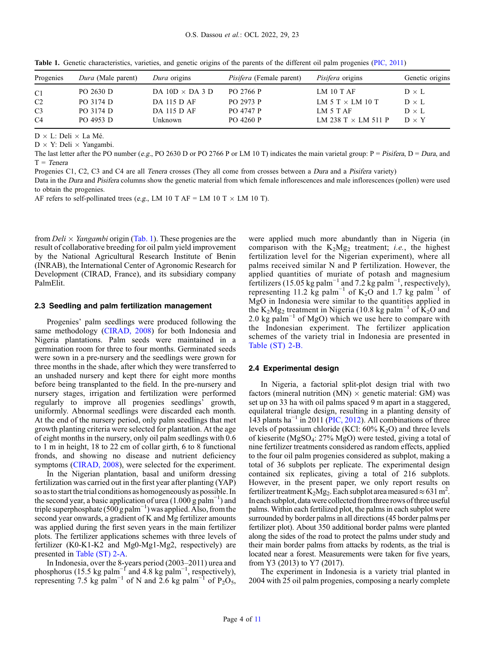| Progenies      | <i>Dura</i> (Male parent) | Dura origins           | <i>Pisifera</i> (Female parent) | <i>Pisifera</i> origins    | Genetic origins |
|----------------|---------------------------|------------------------|---------------------------------|----------------------------|-----------------|
| C1             | PO 2630 D                 | DA 10D $\times$ DA 3 D | PO 2766 P                       | LM $10$ T AF               | $D \times L$    |
| C2             | PO 3174 D                 | DA 115 D AF            | PO 2973 P                       | LM 5 T $\times$ LM 10 T    | $D \times L$    |
| C <sub>3</sub> | PO 3174 D                 | DA 115 D AF            | <b>PO 4747 P</b>                | LM $5$ T AF                | $D \times L$    |
| C <sub>4</sub> | PO 4953 D                 | Unknown                | PO 4260 P                       | LM 238 T $\times$ LM 511 P | $D \times Y$    |

Table 1. Genetic characteristics, varieties, and genetic origins of the parents of the different oil palm progenies [\(PIC, 2011](#page-10-0))

 $D \times L$ : Deli  $\times$  La Mé.

 $D \times Y$ : Deli  $\times$  Yangambi.

The last letter after the PO number (e.g., PO 2630 D or PO 2766 P or LM 10 T) indicates the main varietal group: P = Pisifera, D = Dura, and  $T = Tenera$ 

Progenies C1, C2, C3 and C4 are all Tenera crosses (They all come from crosses between a Dura and a Pisifera variety)

Data in the Dura and Pisifera columns show the genetic material from which female inflorescences and male inflorescences (pollen) were used to obtain the progenies.

AF refers to self-pollinated trees (e.g., LM 10 T AF = LM 10 T  $\times$  LM 10 T).

from *Deli*  $\times$  *Yangambi* origin (Tab. 1). These progenies are the result of collaborative breeding for oil palm yield improvement by the National Agricultural Research Institute of Benin (INRAB), the International Center of Agronomic Research for Development (CIRAD, France), and its subsidiary company PalmElit.

## 2.3 Seedling and palm fertilization management

Progenies' palm seedlings were produced following the same methodology ([CIRAD, 2008\)](#page-9-0) for both Indonesia and Nigeria plantations. Palm seeds were maintained in a germination room for three to four months. Germinated seeds were sown in a pre-nursery and the seedlings were grown for three months in the shade, after which they were transferred to an unshaded nursery and kept there for eight more months before being transplanted to the field. In the pre-nursery and nursery stages, irrigation and fertilization were performed regularly to improve all progenies seedlings' growth, uniformly. Abnormal seedlings were discarded each month. At the end of the nursery period, only palm seedlings that met growth planting criteria were selected for plantation. At the age of eight months in the nursery, only oil palm seedlings with 0.6 to 1 m in height, 18 to 22 cm of collar girth, 6 to 8 functional fronds, and showing no disease and nutrient deficiency symptoms ([CIRAD, 2008](#page-9-0)), were selected for the experiment.

In the Nigerian plantation, basal and uniform dressing fertilization was carried out in the first year after planting (YAP) so as to start the trial conditions as homogeneously as possible. In the second year, a basic application of urea (1.000 g palm<sup>-1</sup>) and triple superphosphate (500 g palm<sup>-1</sup>) was applied. Also, from the second year onwards, a gradient of K and Mg fertilizer amounts was applied during the first seven years in the main fertilizer plots. The fertilizer applications schemes with three levels of fertilizer (K0-K1-K2 and Mg0-Mg1-Mg2, respectively) are presented in [Table \(ST\) 2-A](http://www.ocl.fr/10.1051/ocl/2022016/olm).

In Indonesia, over the 8-years period (2003–2011) urea and phosphorus (15.5 kg palm<sup>-1</sup> and 4.8 kg palm<sup>-1</sup>, respectively), representing 7.5 kg palm<sup>-1</sup> of N and 2.6 kg palm<sup>-1</sup> of P<sub>2</sub>O<sub>5</sub>, were applied much more abundantly than in Nigeria (in comparison with the  $K_2Mg_2$  treatment; *i.e.*, the highest fertilization level for the Nigerian experiment), where all palms received similar N and P fertilization. However, the applied quantities of muriate of potash and magnesium fertilizers (15.05 kg palm<sup>-1</sup> and 7.2 kg palm<sup>-1</sup>, respectively), representing 11.2 kg palm<sup>-1</sup> of K<sub>2</sub>O and 1.7 kg palm<sup>-1</sup> of MgO in Indonesia were similar to the quantities applied in the K<sub>2</sub>Mg<sub>2</sub> treatment in Nigeria (10.8 kg palm<sup>-1</sup> of K<sub>2</sub>O and 2.0 kg palm<sup>-1</sup> of MgO) which we use here to compare with the Indonesian experiment. The fertilizer application schemes of the variety trial in Indonesia are presented in [Table \(ST\) 2-B.](http://www.ocl.fr/10.1051/ocl/2022016/olm)

#### 2.4 Experimental design

In Nigeria, a factorial split-plot design trial with two factors (mineral nutrition (MN)  $\times$  genetic material: GM) was set up on 33 ha with oil palms spaced 9 m apart in a staggered, equilateral triangle design, resulting in a planting density of 143 plants ha<sup> $-1$ </sup> in 2011 [\(PIC, 2012](#page-10-0)). All combinations of three levels of potassium chloride (KCl:  $60\%$  K<sub>2</sub>O) and three levels of kieserite (MgSO4: 27% MgO) were tested, giving a total of nine fertilizer treatments considered as random effects, applied to the four oil palm progenies considered as subplot, making a total of 36 subplots per replicate. The experimental design contained six replicates, giving a total of 216 subplots. However, in the present paper, we only report results on fertilizer treatment  $K_2Mg_2$ . Each subplot area measured ≈ 631 m<sup>2</sup>. In each subplot, data were collected from three rows of three useful palms. Within each fertilized plot, the palms in each subplot were surrounded by border palms in all directions (45 border palms per fertilizer plot). About 350 additional border palms were planted along the sides of the road to protect the palms under study and their main border palms from attacks by rodents, as the trial is located near a forest. Measurements were taken for five years, from Y3 (2013) to Y7 (2017).

The experiment in Indonesia is a variety trial planted in 2004 with 25 oil palm progenies, composing a nearly complete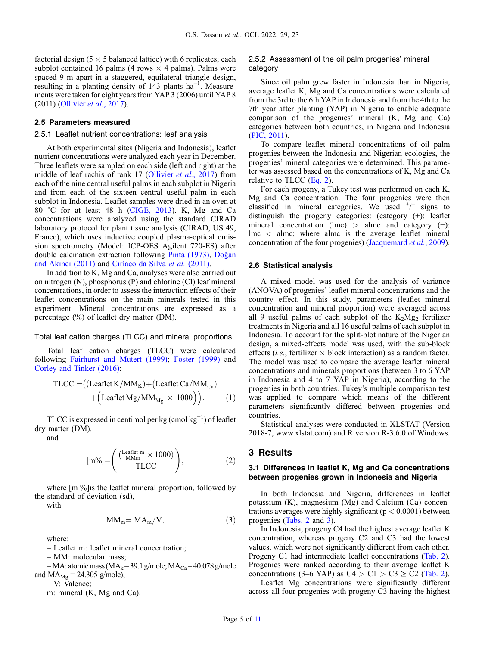factorial design ( $5 \times 5$  balanced lattice) with 6 replicates; each subplot contained 16 palms (4 rows  $\times$  4 palms). Palms were spaced 9 m apart in a staggered, equilateral triangle design, resulting in a planting density of 143 plants ha<sup>-1</sup>. Measurements were taken for eight years from YAP 3 (2006) until YAP 8 (2011) [\(Ollivier](#page-10-0) et al., 2017).

## 2.5 Parameters measured

## 2.5.1 Leaflet nutrient concentrations: leaf analysis

At both experimental sites (Nigeria and Indonesia), leaflet nutrient concentrations were analyzed each year in December. Three leaflets were sampled on each side (left and right) at the middle of leaf rachis of rank 17 [\(Ollivier](#page-10-0) et al., 2017) from each of the nine central useful palms in each subplot in Nigeria and from each of the sixteen central useful palm in each subplot in Indonesia. Leaflet samples were dried in an oven at 80 °C for at least 48 h ([CIGE, 2013](#page-9-0)). K, Mg and Ca concentrations were analyzed using the standard CIRAD laboratory protocol for plant tissue analysis (CIRAD, US 49, France), which uses inductive coupled plasma-optical emission spectrometry (Model: ICP-OES Agilent 720-ES) after double calcination extraction following [Pinta \(1973\)](#page-10-0), Do[gan](#page-9-0) [and Akinci \(2011\)](#page-9-0) and [Ciríaco da Silva](#page-9-0) et al. (2011).

In addition to K, Mg and Ca, analyses were also carried out on nitrogen (N), phosphorus (P) and chlorine (Cl) leaf mineral concentrations, in order to assess the interaction effects of their leaflet concentrations on the main minerals tested in this experiment. Mineral concentrations are expressed as a percentage (%) of leaflet dry matter (DM).

#### Total leaf cation charges (TLCC) and mineral proportions

Total leaf cation charges (TLCC) were calculated following [Fairhurst and Mutert \(1999\);](#page-9-0) [Foster \(1999\)](#page-9-0) and [Corley and Tinker \(2016\):](#page-9-0)

$$
TLCC = ((\text{Leaflet } K / MM_K) + (\text{Leaflet } Ca / MM_{Ca}) + (\text{Leaflet } Mg / MM_{Mg} \times 1000)). \tag{1}
$$

TLCC is expressed in centimol per kg (cmol  $kg^{-1}$ ) of leaflet dry matter (DM).

and

$$
[m\%]\!\!=\!\!\left(\frac{\left(\frac{\text{Leaflet }m}{\text{M}\text{M}\text{m}}\times1000\right)}{\text{TLCC}}\right),\tag{2}
$$

where [m %]is the leaflet mineral proportion, followed by the standard of deviation (sd),

with

$$
MM_m = MA_m/V, \tag{3}
$$

where:

– Leaflet m: leaflet mineral concentration;

– MM: molecular mass;

 $-MA$ : atomic mass (MA<sub>k</sub>= 39.1 g/mole; MA<sub>Ca</sub>= 40.078 g/mole and  $MA_{Mg} = 24.305$  g/mole);

– V: Valence;

m: mineral (K, Mg and Ca).

#### 2.5.2 Assessment of the oil palm progenies' mineral category

Since oil palm grew faster in Indonesia than in Nigeria, average leaflet K, Mg and Ca concentrations were calculated from the 3rd to the 6th YAP in Indonesia and from the 4th to the 7th year after planting (YAP) in Nigeria to enable adequate comparison of the progenies' mineral (K, Mg and Ca) categories between both countries, in Nigeria and Indonesia ([PIC, 2011\)](#page-10-0).

To compare leaflet mineral concentrations of oil palm progenies between the Indonesia and Nigerian ecologies, the progenies' mineral categories were determined. This parameter was assessed based on the concentrations of K, Mg and Ca relative to TLCC (Eq. 2).

For each progeny, a Tukey test was performed on each K, Mg and Ca concentration. The four progenies were then classified in mineral categories. We used  $\pm$  signs to distinguish the progeny categories: (category (+): leaflet mineral concentration (lmc) > almc and category  $(-)$ : lmc < almc; where almc is the average leaflet mineral concentration of the four progenies) [\(Jacquemard](#page-9-0) *et al.*, 2009).

#### 2.6 Statistical analysis

A mixed model was used for the analysis of variance (ANOVA) of progenies' leaflet mineral concentrations and the country effect. In this study, parameters (leaflet mineral concentration and mineral proportion) were averaged across all 9 useful palms of each subplot of the  $K_2Mg_2$  fertilizer treatments in Nigeria and all 16 useful palms of each subplot in Indonesia. To account for the split-plot nature of the Nigerian design, a mixed-effects model was used, with the sub-block effects (*i.e.*, fertilizer  $\times$  block interaction) as a random factor. The model was used to compare the average leaflet mineral concentrations and minerals proportions (between 3 to 6 YAP in Indonesia and 4 to 7 YAP in Nigeria), according to the progenies in both countries. Tukey's multiple comparison test was applied to compare which means of the different parameters significantly differed between progenies and countries.

Statistical analyses were conducted in XLSTAT (Version 2018-7, www.xlstat.com) and R version R-3.6.0 of Windows.

# 3 Results

# 3.1 Differences in leaflet K, Mg and Ca concentrations between progenies grown in Indonesia and Nigeria

In both Indonesia and Nigeria, differences in leaflet potassium (K), magnesium (Mg) and Calcium (Ca) concentrations averages were highly significant ( $p < 0.0001$ ) between progenies ([Tabs. 2](#page-5-0) and [3](#page-5-0)).

In Indonesia, progeny C4 had the highest average leaflet K concentration, whereas progeny C2 and C3 had the lowest values, which were not significantly different from each other. Progeny C1 had intermediate leaflet concentrations [\(Tab. 2\)](#page-5-0). Progenies were ranked according to their average leaflet K concentrations (3–6 YAP) as  $C4 > C1 > C3 \ge C2$  ([Tab. 2\)](#page-5-0).

Leaflet Mg concentrations were significantly different across all four progenies with progeny C3 having the highest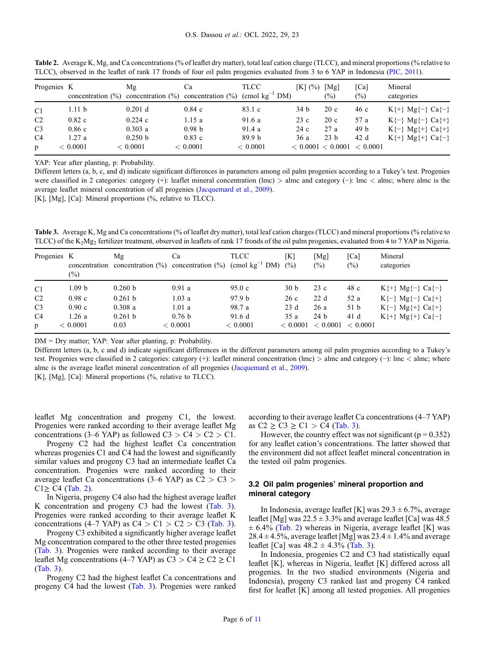| Progenies K    |           | Μg<br>concentration $\left(\frac{\%}{\%}\right)$ concentration $\left(\frac{\%}{\%}\right)$ concentration $\left(\frac{\%}{\%}\right)$ (cmol kg <sup>-1</sup> DM) | Ca                | <b>TLCC</b>       | $[K]$ (%) $[Mg]$ | $(\%)$          | $\lceil$ Ca<br>(%)         | Mineral<br>categories                                 |
|----------------|-----------|-------------------------------------------------------------------------------------------------------------------------------------------------------------------|-------------------|-------------------|------------------|-----------------|----------------------------|-------------------------------------------------------|
| C1             | 1.11 b    | $0.201$ d                                                                                                                                                         | 0.84c             | 83.1 c            | 34 b             | 20c             | 46 c                       | $K\{\hat{+}\}$ Mg $\{\hat{-}\}$ Ca $\{\hat{-}\}$      |
| C2             | $0.82\ c$ | 0.224c                                                                                                                                                            | 1.15 a            | 91.6 a            | 23c              | 20c             | 57 a                       | $K\{\neg\} \text{ Mg}\{\neg\} \text{ Ca}\{\perp\}$    |
| C <sub>3</sub> | 0.86c     | 0.303a                                                                                                                                                            | 0.98 <sub>b</sub> | 91.4 a            | 24c              | 27a             | 49 b                       | $K\{\neg\} \text{Mg}\{\dagger\} \text{Ca}\{\dagger\}$ |
| C4             | 1.27a     | 0.250 b                                                                                                                                                           | 0.83c             | 89.9 <sub>b</sub> | 36 a             | 23 <sub>b</sub> | 42 d                       | $K\{\pm\}$ Mg $\{\pm\}$ Ca $\{\pm\}$                  |
| $\mathfrak{p}$ | < 0.0001  | < 0.0001                                                                                                                                                          | < 0.0001          | < 0.0001          |                  |                 | < 0.0001 < 0.0001 < 0.0001 |                                                       |

<span id="page-5-0"></span>Table 2. Average K, Mg, and Ca concentrations (% of leaflet dry matter), total leaf cation charge (TLCC), and mineral proportions (% relative to TLCC), observed in the leaflet of rank 17 fronds of four oil palm progenies evaluated from 3 to 6 YAP in Indonesia [\(PIC, 2011\)](#page-10-0).

YAP: Year after planting, p: Probability.

Different letters (a, b, c, and d) indicate significant differences in parameters among oil palm progenies according to a Tukey's test. Progenies were classified in 2 categories: category (+): leaflet mineral concentration (lmc) > almc and category (-): lmc < almc; where almc is the average leaflet mineral concentration of all progenies [\(Jacquemard et al., 2009](#page-9-0)).

[K], [Mg], [Ca]: Mineral proportions (%, relative to TLCC).

Table 3. Average K, Mg and Ca concentrations (% of leaflet dry matter), total leaf cation charges (TLCC) and mineral proportions (% relative to TLCC) of the K<sub>2</sub>Mg<sub>2</sub> fertilizer treatment, observed in leaflets of rank 17 fronds of the oil palm progenies, evaluated from 4 to 7 YAP in Nigeria.

| Progenies K    | $(\%)$   | Μg<br>concentration concentration $(\%)$ concentration $(\%)$ | Ca                | <b>TLCC</b><br>(cmol $kg^{-1}$ DM) $(\%)$ | [K]             | [Mg]<br>$(\%)$  | [Ca]<br>$(\%)$ | Mineral<br>categories                                  |
|----------------|----------|---------------------------------------------------------------|-------------------|-------------------------------------------|-----------------|-----------------|----------------|--------------------------------------------------------|
| C1             | 1.09 b   | 0.260 b                                                       | 0.91a             | 95.0 c                                    | 30 <sub>b</sub> | 23c             | 48 c           | $K\{\hat{+}\}$ Mg $\{\hat{-}\}$ Ca $\{\hat{-}\}$       |
| C <sub>2</sub> | 0.98c    | 0.261 b                                                       | 1.03a             | 97.9 <sub>b</sub>                         | 26c             | 22d             | 52 a           | $K\{\neg\} \text{ Mg}\{\neg\} \text{ Ca}\{\perp\}$     |
| C <sub>3</sub> | 0.90c    | 0.308a                                                        | 1.01a             | 98.7 a                                    | 23d             | 26a             | 51 b           | $K\{\text{-}\}\$ Mg $\{\text{+}\}\$ Ca $\{\text{+}\}\$ |
| C <sub>4</sub> | 1.26 a   | 0.261 b                                                       | 0.76 <sub>b</sub> | 91.6d                                     | 35a             | 24 <sub>b</sub> | 41 d           | $K\{\pm\}$ Mg $\{\pm\}$ Ca $\{\pm\}$                   |
| p              | < 0.0001 | 0.03                                                          | < 0.0001          | < 0.0001                                  | < 0.0001        | < 0.0001        | < 0.0001       |                                                        |

DM = Dry matter; YAP: Year after planting, p: Probability.

Different letters (a, b, c and d) indicate significant differences in the different parameters among oil palm progenies according to a Tukey's test. Progenies were classified in 2 categories: category (+): leaflet mineral concentration (lmc) > almc and category (−): lmc < almc; where almc is the average leaflet mineral concentration of all progenies [\(Jacquemard et al., 2009\)](#page-9-0).

[K], [Mg], [Ca]: Mineral proportions (%, relative to TLCC).

leaflet Mg concentration and progeny C1, the lowest. Progenies were ranked according to their average leaflet Mg concentrations (3–6 YAP) as followed  $C3 > C4 > C2 > C1$ .

Progeny C2 had the highest leaflet Ca concentration whereas progenies C1 and C4 had the lowest and significantly similar values and progeny C3 had an intermediate leaflet Ca concentration. Progenies were ranked according to their average leaflet Ca concentrations  $(3-6 \text{ YAP})$  as  $C2 > C3 >$  $C1 \geq C4$  (Tab. 2).

In Nigeria, progeny C4 also had the highest average leaflet K concentration and progeny C3 had the lowest (Tab. 3). Progenies were ranked according to their average leaflet K concentrations (4–7 YAP) as  $C4 > C1 > C2 > C3$  (Tab. 3).

Progeny C3 exhibited a significantly higher average leaflet Mg concentration compared to the other three tested progenies (Tab. 3). Progenies were ranked according to their average leaflet Mg concentrations (4–7 YAP) as  $C3 > C4 \ge C2 \ge C1$ (Tab. 3).

Progeny C2 had the highest leaflet Ca concentrations and progeny C4 had the lowest (Tab. 3). Progenies were ranked according to their average leaflet Ca concentrations (4–7 YAP) as C2 ≥ C3 ≥ C1 > C4 (Tab. 3).

However, the country effect was not significant ( $p = 0.352$ ) for any leaflet cation's concentrations. The latter showed that the environment did not affect leaflet mineral concentration in the tested oil palm progenies.

# 3.2 Oil palm progenies' mineral proportion and mineral category

In Indonesia, average leaflet [K] was  $29.3 \pm 6.7$ %, average leaflet [Mg] was  $22.5 \pm 3.3\%$  and average leaflet [Ca] was 48.5  $\pm$  6.4% (Tab. 2) whereas in Nigeria, average leaflet [K] was  $28.4 \pm 4.5\%$ , average leaflet [Mg] was  $23.4 \pm 1.4\%$  and average leaflet [Ca] was  $48.2 \pm 4.3\%$  (Tab. 3).

In Indonesia, progenies C2 and C3 had statistically equal leaflet [K], whereas in Nigeria, leaflet [K] differed across all progenies. In the two studied environments (Nigeria and Indonesia), progeny C3 ranked last and progeny C4 ranked first for leaflet [K] among all tested progenies. All progenies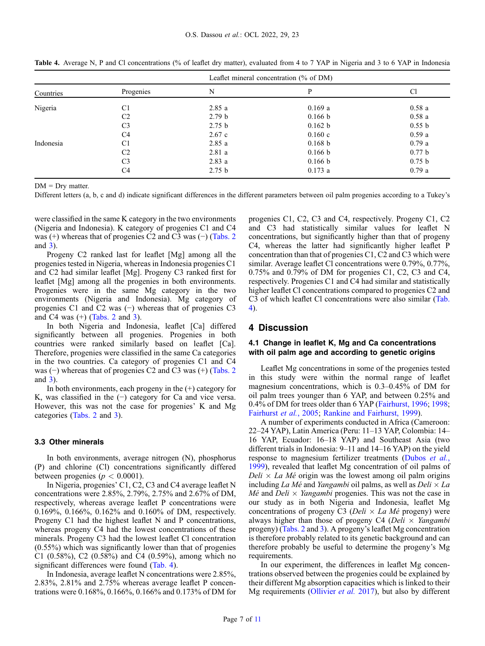|           |                | Leaflet mineral concentration $(\%$ of DM) |         |                   |  |  |
|-----------|----------------|--------------------------------------------|---------|-------------------|--|--|
| Countries | Progenies      | N                                          | P       | C <sub>1</sub>    |  |  |
| Nigeria   | C <sub>1</sub> | 2.85a                                      | 0.169a  | 0.58a             |  |  |
|           | C <sub>2</sub> | 2.79 <sub>b</sub>                          | 0.166 b | 0.58a             |  |  |
|           | C <sub>3</sub> | 2.75 <sub>b</sub>                          | 0.162 b | 0.55 b            |  |  |
|           | C <sub>4</sub> | 2.67c                                      | 0.160c  | 0.59a             |  |  |
| Indonesia | C <sub>1</sub> | 2.85a                                      | 0.168 b | 0.79a             |  |  |
|           | C <sub>2</sub> | 2.81a                                      | 0.166 b | 0.77 <sub>b</sub> |  |  |
|           | C <sub>3</sub> | 2.83a                                      | 0.166 b | 0.75 <sub>b</sub> |  |  |
|           | C <sub>4</sub> | 2.75 <sub>b</sub>                          | 0.173a  | 0.79a             |  |  |

Table 4. Average N, P and Cl concentrations (% of leaflet dry matter), evaluated from 4 to 7 YAP in Nigeria and 3 to 6 YAP in Indonesia

 $DM = Dry$  matter.

Different letters (a, b, c and d) indicate significant differences in the different parameters between oil palm progenies according to a Tukey's

were classified in the same K category in the two environments (Nigeria and Indonesia). K category of progenies C1 and C4 was (+) whereas that of progenies C2 and C3 was (−) [\(Tabs. 2](#page-5-0) and [3](#page-5-0)).

Progeny C2 ranked last for leaflet [Mg] among all the progenies tested in Nigeria, whereas in Indonesia progenies C1 and C2 had similar leaflet [Mg]. Progeny C3 ranked first for leaflet [Mg] among all the progenies in both environments. Progenies were in the same Mg category in the two environments (Nigeria and Indonesia). Mg category of progenies C1 and C2 was (−) whereas that of progenies C3 and C4 was (+) ([Tabs. 2](#page-5-0) and [3](#page-5-0)).

In both Nigeria and Indonesia, leaflet [Ca] differed significantly between all progenies. Progenies in both countries were ranked similarly based on leaflet [Ca]. Therefore, progenies were classified in the same Ca categories in the two countries. Ca category of progenies C1 and C4 was (−) whereas that of progenies C2 and C3 was (+) [\(Tabs. 2](#page-5-0) and [3](#page-5-0)).

In both environments, each progeny in the  $(+)$  category for K, was classified in the (−) category for Ca and vice versa. However, this was not the case for progenies' K and Mg categories ([Tabs. 2](#page-5-0) and [3](#page-5-0)).

#### 3.3 Other minerals

In both environments, average nitrogen (N), phosphorus (P) and chlorine (Cl) concentrations significantly differed between progenies ( $p < 0.0001$ ).

In Nigeria, progenies' C1, C2, C3 and C4 average leaflet N concentrations were 2.85%, 2.79%, 2.75% and 2.67% of DM, respectively, whereas average leaflet P concentrations were 0.169%, 0.166%, 0.162% and 0.160% of DM, respectively. Progeny C1 had the highest leaflet N and P concentrations, whereas progeny C4 had the lowest concentrations of these minerals. Progeny C3 had the lowest leaflet Cl concentration (0.55%) which was significantly lower than that of progenies C1 (0.58%), C2 (0.58%) and C4 (0.59%), among which no significant differences were found (Tab. 4).

In Indonesia, average leaflet N concentrations were 2.85%, 2.83%, 2.81% and 2.75% whereas average leaflet P concentrations were 0.168%, 0.166%, 0.166% and 0.173% of DM for progenies C1, C2, C3 and C4, respectively. Progeny C1, C2 and C3 had statistically similar values for leaflet N concentrations, but significantly higher than that of progeny C4, whereas the latter had significantly higher leaflet P concentration than that of progenies C1, C2 and C3 which were similar. Average leaflet Cl concentrations were 0.79%, 0.77%, 0.75% and 0.79% of DM for progenies C1, C2, C3 and C4, respectively. Progenies C1 and C4 had similar and statistically higher leaflet Cl concentrations compared to progenies C2 and C3 of which leaflet Cl concentrations were also similar (Tab. 4).

# 4 Discussion

# 4.1 Change in leaflet K, Mg and Ca concentrations with oil palm age and according to genetic origins

Leaflet Mg concentrations in some of the progenies tested in this study were within the normal range of leaflet magnesium concentrations, which is 0.3–0.45% of DM for oil palm trees younger than 6 YAP, and between 0.25% and 0.4% of DM for trees older than 6 YAP ([Fairhurst, 1996](#page-9-0); [1998;](#page-9-0) [Fairhurst](#page-9-0) et al., 2005; [Rankine and Fairhurst, 1999](#page-10-0)).

A number of experiments conducted in Africa (Cameroon: 22–24 YAP), Latin America (Peru: 11–13 YAP, Colombia: 14– 16 YAP, Ecuador: 16–18 YAP) and Southeast Asia (two different trials in Indonesia: 9–11 and 14–16 YAP) on the yield response to magnesium fertilizer treatments [\(Dubos](#page-9-0) et al., [1999](#page-9-0)), revealed that leaflet Mg concentration of oil palms of  $Delta \times La$  Mé origin was the lowest among oil palm origins including La Mé and Yangambi oil palms, as well as  $Delta \times La$  $M\acute{e}$  and  $Deli \times Yangambi$  progenies. This was not the case in our study as in both Nigeria and Indonesia, leaflet Mg concentrations of progeny C3 (Deli  $\times$  La Mé progeny) were always higher than those of progeny C4 (Deli  $\times$  Yangambi progeny) ([Tabs. 2](#page-5-0) and [3](#page-5-0)). A progeny's leaflet Mg concentration is therefore probably related to its genetic background and can therefore probably be useful to determine the progeny's Mg requirements.

In our experiment, the differences in leaflet Mg concentrations observed between the progenies could be explained by their different Mg absorption capacities which is linked to their Mg requirements ([Ollivier](#page-10-0) *et al.* 2017), but also by different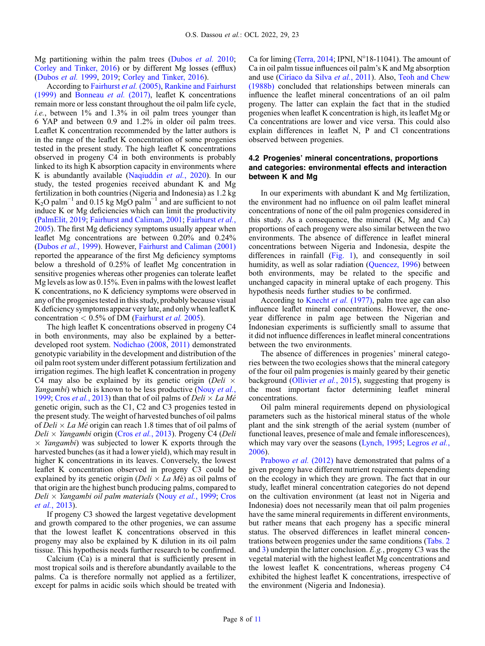Mg partitioning within the palm trees ([Dubos](#page-9-0) *et al.* 2010; [Corley and Tinker, 2016\)](#page-9-0) or by different Mg losses (efflux) ([Dubos](#page-9-0) et al. 1999, [2019;](#page-9-0) [Corley and Tinker, 2016\)](#page-9-0).

According to [Fairhurst](#page-9-0) et al. (2005), [Rankine and Fairhurst](#page-10-0) [\(1999\)](#page-10-0) and [Bonneau](#page-9-0) et al. (2017), leaflet K concentrations remain more or less constant throughout the oil palm life cycle, i.e., between 1% and 1.3% in oil palm trees younger than 6 YAP and between 0.9 and 1.2% in older oil palm trees. Leaflet K concentration recommended by the latter authors is in the range of the leaflet K concentration of some progenies tested in the present study. The high leaflet K concentrations observed in progeny C4 in both environments is probably linked to its high K absorption capacity in environments where K is abundantly available ([Naqiuddin](#page-9-0) *et al.*, 2020). In our study, the tested progenies received abundant K and Mg fertilization in both countries (Nigeria and Indonesia) as 1.2 kg  $K_2O$  palm<sup>-1</sup> and 0.15 kg MgO palm<sup>-1</sup> and are sufficient to not induce K or Mg deficiencies which can limit the productivity ([PalmElit, 2019](#page-10-0); [Fairhurst and Caliman, 2001](#page-9-0); [Fairhurst](#page-9-0) et al., [2005](#page-9-0)). The first Mg deficiency symptoms usually appear when leaflet Mg concentrations are between 0.20% and 0.24% ([Dubos](#page-9-0) et al., 1999). However, [Fairhurst and Caliman \(2001\)](#page-9-0) reported the appearance of the first Mg deficiency symptoms below a threshold of 0.25% of leaflet Mg concentration in sensitive progenies whereas other progenies can tolerate leaflet Mg levels as low as 0.15%. Even in palms with the lowest leaflet K concentrations, no K deficiency symptoms were observed in any of the progenies tested in this study, probably because visual K deficiency symptoms appear very late, and only when leaflet K concentration  $< 0.5\%$  of DM [\(Fairhurst](#page-9-0) *et al.* 2005).

The high leaflet K concentrations observed in progeny C4 in both environments, may also be explained by a betterdeveloped root system. [Nodichao \(2008](#page-9-0), [2011\)](#page-9-0) demonstrated genotypic variability in the development and distribution of the oil palm root system under different potassium fertilization and irrigation regimes. The high leaflet K concentration in progeny C4 may also be explained by its genetic origin (Deli  $\times$ Yangambi) which is known to be less productive ([Nouy](#page-10-0) et al., [1999](#page-10-0); Cros et al.[, 2013\)](#page-9-0) than that of oil palms of  $Delta \times La$  Mé genetic origin, such as the C1, C2 and C3 progenies tested in the present study. The weight of harvested bunches of oil palms of  $Delta \times La$  Mé origin can reach 1.8 times that of oil palms of  $Deli \times Yangambi$  origin (Cros et al.[, 2013\)](#page-9-0). Progeny C4 (Deli  $\times$  *Yangambi*) was subjected to lower K exports through the harvested bunches (as it had a lower yield), which may result in higher K concentrations in its leaves. Conversely, the lowest leaflet K concentration observed in progeny C3 could be explained by its genetic origin ( $Delta \times La Mé$ ) as oil palms of that origin are the highest bunch producing palms, compared to Deli  $\times$  Yangambi oil palm materials (Nouy et al.[, 1999](#page-10-0); [Cros](#page-9-0) et al.[, 2013](#page-9-0)).

If progeny C3 showed the largest vegetative development and growth compared to the other progenies, we can assume that the lowest leaflet K concentrations observed in this progeny may also be explained by K dilution in its oil palm tissue. This hypothesis needs further research to be confirmed.

Calcium (Ca) is a mineral that is sufficiently present in most tropical soils and is therefore abundantly available to the palms. Ca is therefore normally not applied as a fertilizer, except for palms in acidic soils which should be treated with Ca for liming ([Terra, 2014](#page-10-0); IPNI, N°18-11041). The amount of Ca in oil palm tissue influences oil palm's K and Mg absorption and use [\(Ciríaco da Silva](#page-9-0) et al., 2011). Also, [Teoh and Chew](#page-10-0) [\(1988b\)](#page-10-0) concluded that relationships between minerals can influence the leaflet mineral concentrations of an oil palm progeny. The latter can explain the fact that in the studied progenies when leaflet K concentration is high, its leaflet Mg or Ca concentrations are lower and vice versa. This could also explain differences in leaflet N, P and Cl concentrations observed between progenies.

# 4.2 Progenies' mineral concentrations, proportions and categories: environmental effects and interaction between K and Mg

In our experiments with abundant K and Mg fertilization, the environment had no influence on oil palm leaflet mineral concentrations of none of the oil palm progenies considered in this study. As a consequence, the mineral (K, Mg and Ca) proportions of each progeny were also similar between the two environments. The absence of difference in leaflet mineral concentrations between Nigeria and Indonesia, despite the differences in rainfall [\(Fig. 1\)](#page-2-0), and consequently in soil humidity, as well as solar radiation [\(Quencez, 1996](#page-10-0)) between both environments, may be related to the specific and unchanged capacity in mineral uptake of each progeny. This hypothesis needs further studies to be confirmed.

According to [Knecht](#page-9-0) *et al.* (1977), palm tree age can also influence leaflet mineral concentrations. However, the oneyear difference in palm age between the Nigerian and Indonesian experiments is sufficiently small to assume that it did not influence differences in leaflet mineral concentrations between the two environments.

The absence of differences in progenies' mineral categories between the two ecologies shows that the mineral category of the four oil palm progenies is mainly geared by their genetic background ([Ollivier](#page-10-0) *et al.*, 2015), suggesting that progeny is the most important factor determining leaflet mineral concentrations.

Oil palm mineral requirements depend on physiological parameters such as the historical mineral status of the whole plant and the sink strength of the aerial system (number of functional leaves, presence of male and female inflorescences), which may vary over the seasons [\(Lynch, 1995](#page-9-0); [Legros](#page-9-0) et al., [2006](#page-9-0)).

[Prabowo](#page-10-0) *et al.* (2012) have demonstrated that palms of a given progeny have different nutrient requirements depending on the ecology in which they are grown. The fact that in our study, leaflet mineral concentration categories do not depend on the cultivation environment (at least not in Nigeria and Indonesia) does not necessarily mean that oil palm progenies have the same mineral requirements in different environments, but rather means that each progeny has a specific mineral status. The observed differences in leaflet mineral concentrations between progenies under the same conditions [\(Tabs. 2](#page-5-0) and [3\)](#page-5-0) underpin the latter conclusion. E.g., progeny C3 was the vegetal material with the highest leaflet Mg concentrations and the lowest leaflet K concentrations, whereas progeny C4 exhibited the highest leaflet K concentrations, irrespective of the environment (Nigeria and Indonesia).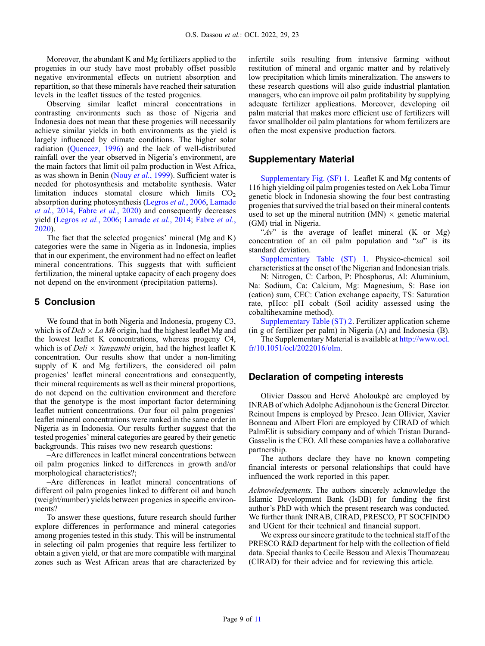Moreover, the abundant K and Mg fertilizers applied to the progenies in our study have most probably offset possible negative environmental effects on nutrient absorption and repartition, so that these minerals have reached their saturation levels in the leaflet tissues of the tested progenies.

Observing similar leaflet mineral concentrations in contrasting environments such as those of Nigeria and Indonesia does not mean that these progenies will necessarily achieve similar yields in both environments as the yield is largely influenced by climate conditions. The higher solar radiation [\(Quencez, 1996](#page-10-0)) and the lack of well-distributed rainfall over the year observed in Nigeria's environment, are the main factors that limit oil palm production in West Africa, as was shown in Benin (Nouy et al.[, 1999](#page-10-0)). Sufficient water is needed for photosynthesis and metabolite synthesis. Water limitation induces stomatal closure which limits  $CO<sub>2</sub>$ absorption during photosynthesis [\(Legros](#page-9-0) et al., 2006, [Lamade](#page-9-0) et al.[, 2014,](#page-9-0) Fabre et al.[, 2020](#page-9-0)) and consequently decreases yield [\(Legros](#page-9-0) et al., 2006; [Lamade](#page-9-0) et al., 2014; [Fabre](#page-9-0) et al., [2020](#page-9-0)).

The fact that the selected progenies' mineral (Mg and K) categories were the same in Nigeria as in Indonesia, implies that in our experiment, the environment had no effect on leaflet mineral concentrations. This suggests that with sufficient fertilization, the mineral uptake capacity of each progeny does not depend on the environment (precipitation patterns).

# 5 Conclusion

We found that in both Nigeria and Indonesia, progeny C3, which is of  $Delta \times La M$ é origin, had the highest leaflet Mg and the lowest leaflet K concentrations, whereas progeny C4, which is of  $Deli \times Yangambi$  origin, had the highest leaflet K concentration. Our results show that under a non-limiting supply of K and Mg fertilizers, the considered oil palm progenies' leaflet mineral concentrations and consequently, their mineral requirements as well as their mineral proportions, do not depend on the cultivation environment and therefore that the genotype is the most important factor determining leaflet nutrient concentrations. Our four oil palm progenies' leaflet mineral concentrations were ranked in the same order in Nigeria as in Indonesia. Our results further suggest that the tested progenies' mineral categories are geared by their genetic backgrounds. This raises two new research questions:

–Are differences in leaflet mineral concentrations between oil palm progenies linked to differences in growth and/or morphological characteristics?;

–Are differences in leaflet mineral concentrations of different oil palm progenies linked to different oil and bunch (weight/number) yields between progenies in specific environments?

To answer these questions, future research should further explore differences in performance and mineral categories among progenies tested in this study. This will be instrumental in selecting oil palm progenies that require less fertilizer to obtain a given yield, or that are more compatible with marginal zones such as West African areas that are characterized by infertile soils resulting from intensive farming without restitution of mineral and organic matter and by relatively low precipitation which limits mineralization. The answers to these research questions will also guide industrial plantation managers, who can improve oil palm profitability by supplying adequate fertilizer applications. Moreover, developing oil palm material that makes more efficient use of fertilizers will favor smallholder oil palm plantations for whom fertilizers are often the most expensive production factors.

# Supplementary Material

[Supplementary Fig. \(SF\) 1](http://www.ocl.fr/10.1051/ocl/2022016/olm). Leaflet K and Mg contents of 116 high yielding oil palm progenies tested on Aek Loba Timur genetic block in Indonesia showing the four best contrasting progenies that survived the trial based on their mineral contents used to set up the mineral nutrition (MN)  $\times$  genetic material (GM) trial in Nigeria.

" $Av$ " is the average of leaflet mineral (K or Mg) concentration of an oil palm population and " $sd$ " is its standard deviation.

[Supplementary Table \(ST\) 1](http://www.ocl.fr/10.1051/ocl/2022016/olm). Physico-chemical soil characteristics at the onset of the Nigerian and Indonesian trials.

N: Nitrogen, C: Carbon, P: Phosphorus, Al: Aluminium, Na: Sodium, Ca: Calcium, Mg: Magnesium, S: Base ion (cation) sum, CEC: Cation exchange capacity, TS: Saturation rate, pHco: pH cobalt (Soil acidity assessed using the cobaltihexamine method).

[Supplementary Table \(ST\) 2.](http://www.ocl.fr/10.1051/ocl/2022016/olm) Fertilizer application scheme (in g of fertilizer per palm) in Nigeria (A) and Indonesia (B).

The Supplementary Material is available at [http://www.ocl.](http://www.ocl.fr/10.1051/ocl/2022016/olm) [fr/10.1051/ocl/2022016/olm](http://www.ocl.fr/10.1051/ocl/2022016/olm).

# Declaration of competing interests

Olivier Dassou and Hervé Aholoukpè are employed by INRAB of which Adolphe Adjanohoun is the General Director. Reinout Impens is employed by Presco. Jean Ollivier, Xavier Bonneau and Albert Flori are employed by CIRAD of which PalmElit is subsidiary company and of which Tristan Durand-Gasselin is the CEO. All these companies have a collaborative partnership.

The authors declare they have no known competing financial interests or personal relationships that could have influenced the work reported in this paper.

Acknowledgements. The authors sincerely acknowledge the Islamic Development Bank (IsDB) for funding the first author's PhD with which the present research was conducted. We further thank INRAB, CIRAD, PRESCO, PT SOCFINDO and UGent for their technical and financial support.

We express our sincere gratitude to the technical staff of the PRESCO R&D department for help with the collection of field data. Special thanks to Cecile Bessou and Alexis Thoumazeau (CIRAD) for their advice and for reviewing this article.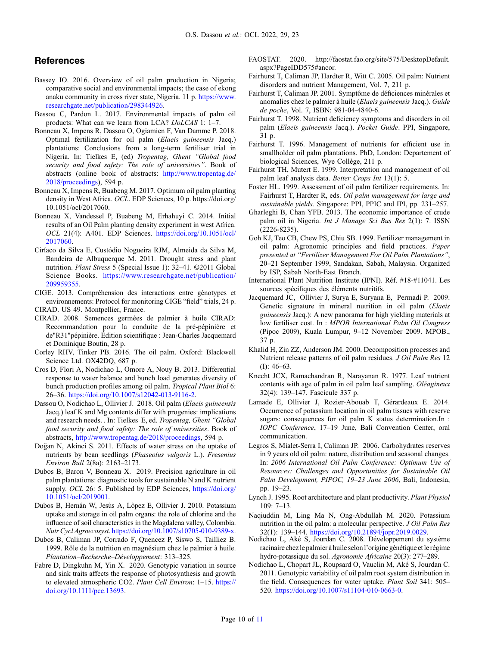# <span id="page-9-0"></span>**References**

- Bassey IO. 2016. Overview of oil palm production in Nigeria; comparative social and environmental impacts; the case of ekong anaku community in cross river state, Nigeria. 11 p. https://www. researchgate.net/publication/298344926.
- Bessou C, Pardon L. 2017. Environmental impacts of palm oil products: What can we learn from LCA? IJoLCAS 1: 1–7.
- Bonneau X, Impens R, Dassou O, Ogiamien F, Van Damme P. 2018. Optimal fertilization for oil palm (Elaeis guineensis Jacq.) plantations: Conclusions from a long-term fertiliser trial in Nigeria. In: Tielkes E, (ed) Tropentag, Ghent "Global food security and food safety: The role of universities". Book of abstracts (online book of abstracts: http://www.tropentag.de/ 2018/proceedings), 594 p.
- Bonneau X, Impens R, Buabeng M. 2017. Optimum oil palm planting density in West Africa. OCL. EDP Sciences, 10 p. [https://doi.org/](https://orcid.org/0000-0003-3293-5188) [10.1051/ocl/2017060.](https://orcid.org/0000-0003-3293-5188)
- Bonneau X, Vandessel P, Buabeng M, Erhahuyi C. 2014. Initial results of an Oil Palm planting density experiment in west Africa. OCL 21(4): A401. EDP Sciences. https://doi.org/10.1051/ocl/ 2017060.
- Ciríaco da Silva E, Custódio Nogueira RJM, Almeida da Silva M, Bandeira de Albuquerque M. 2011. Drought stress and plant nutrition. Plant Stress 5 (Special Issue 1): 32–41. ©2011 Global Science Books. https://www.researchgate.net/publication/ 209959355.
- CIGE. 2013. Compréhension des interactions entre génotypes et environnements: Protocol for monitoring CIGE "field" trials, 24 p. CIRAD. US 49. Montpellier, France.
- 
- CIRAD. 2008. Semences germées de palmier à huile CIRAD: Recommandation pour la conduite de la pré-pépinière et de"R31"pépinière. Édition scientifique : Jean-Charles Jacquemard et Dominique Boutin, 28 p.
- Corley RHV, Tinker PB. 2016. The oil palm. Oxford: Blackwell Science Ltd. OX42DQ, 687 p.
- Cros D, Flori A, Nodichao L, Omore A, Nouy B. 2013. Differential response to water balance and bunch load generates diversity of bunch production profiles among oil palm. Tropical Plant Biol 6: 26–36. https://doi.org/10.1007/s12042-013-9116-2.
- Dassou O, Nodichao L, Ollivier J. 2018. Oil palm (Elaeis guineensis Jacq.) leaf K and Mg contents differ with progenies: implications and research needs. . In: Tielkes E, ed. Tropentag, Ghent "Global food security and food safety: The role of universities. Book of abstracts, http://www.tropentag.de/2018/proceedings, 594 p.
- Dogan N, Akinci S. 2011. Effects of water stress on the uptake of nutrients by bean seedlings (Phaseolus vulgaris L.). Fresenius Environ Bull 2(8a): 2163–2173.
- Dubos B, Baron V, Bonneau X. 2019. Precision agriculture in oil palm plantations: diagnostic tools for sustainable N and K nutrient supply. OCL 26: 5. Published by EDP Sciences, https://doi.org/ 10.1051/ocl/2019001.
- Dubos B, Hernán W, Jesùs A, Lòpez E, Ollivier J. 2010. Potassium uptake and storage in oil palm organs: the role of chlorine and the influence of soil characteristics in the Magdalena valley, Colombia. Nutr Cycl Agroecosyst. https://doi.org/10.1007/s10705-010-9389-x.
- Dubos B, Caliman JP, Corrado F, Quencez P, Siswo S, Tailliez B. 1999. Rôle de la nutrition en magnésium chez le palmier à huile. Plantation–Recherche–Développement: 313–325.
- Fabre D, Dingkuhn M, Yin X. 2020. Genotypic variation in source and sink traits affects the response of photosynthesis and growth to elevated atmospheric CO2. Plant Cell Environ: 1-15. https:// doi.org/10.1111/pce.13693.
- FAOSTAT. 2020. [http://faostat.fao.org/site/575/DesktopDefault.](https://orcid.org/0000-0003-2873-1967) [aspx?PageIDD575#ancor.](https://orcid.org/0000-0003-2873-1967)
- Fairhurst T, Caliman JP, Hardter R, Witt C. 2005. Oil palm: Nutrient disorders and nutrient Management, Vol. 7, 211 p.
- Fairhurst T, Caliman JP. 2001. Symptôme de déficiences minérales et anomalies chez le palmier à huile (Elaeis guineensis Jacq.). Guide de poche, Vol. 7, ISBN: 981-04-4840-6.
- Fairhurst T. 1998. Nutrient deficiency symptoms and disorders in oil palm (Elaeis guineensis Jacq.). Pocket Guide. PPI, Singapore, 31 p.
- Fairhurst T. 1996. Management of nutrients for efficient use in smallholder oil palm plantations. PhD, London: Departement of biological Sciences, Wye Collège, 211 p.
- Fairhurst TH, Mutert E. 1999. Interpretation and management of oil palm leaf analysis data. Better Crops Int 13(1): 5.
- Foster HL. 1999. Assessment of oil palm fertilizer requirements. In: Fairhurst T, Hardter R, eds. Oil palm management for large and sustainable yields. Singapore: PPI, PPIC and IPI, pp. 231–257.
- Gharleghi B, Chan YFB. 2013. The economic importance of crude palm oil in Nigeria. Int J Manage Sci Bus Res 2(1): 7. ISSN (2226-8235).
- Goh KJ, Teo CB, Chew PS, Chiu SB. 1999. Fertilizer management in oil palm: Agronomic principles and field practices. Paper presented at "Fertilizer Management For Oil Palm Plantations", 20–21 September 1999, Sandakan, Sabah, Malaysia. Organized by ISP, Sabah North-East Branch.
- International Plant Nutrition Institute (IPNI). Réf. #18-#11041. Les sources spécifiques des éléments nutritifs.
- Jacquemard JC, Ollivier J, Surya E, Suryana E, Permadi P. 2009. Genetic signature in mineral nutrition in oil palm (Elaeis guineensis Jacq.): A new panorama for high yielding materials at low fertiliser cost. In : MPOB International Palm Oil Congress (Pipoc 2009), Kuala Lumpur, 9–12 November 2009. MPOB., 37 p.
- Khalid H, Zin ZZ, Anderson JM. 2000. Decomposition processes and Nutrient release patterns of oil palm residues. J Oil Palm Res 12 (I): 46–63.
- Knecht JCX, Ramachandran R, Narayanan R. 1977. Leaf nutrient contents with age of palm in oil palm leaf sampling. Oléagineux 32(4): 139–147. Fascicule 337 p.
- Lamade E, Ollivier J, Rozier-Abouab T, Gérardeaux E. 2014. Occurrence of potassium location in oil palm tissues with reserve sugars: consequences for oil palm K status determination.In : IOPC Conference, 17–19 June, Bali Convention Center, oral communication.
- Legros S, Mialet-Serra I, Caliman JP. 2006. Carbohydrates reserves in 9 years old oil palm: nature, distribution and seasonal changes. In: 2006 International Oil Palm Conference: Optimum Use of Resources: Challenges and Opportunities for Sustainable Oil Palm Development, PIPOC, 19–23 June 2006, Bali, Indonesia, pp. 19–23.
- Lynch J. 1995. Root architecture and plant productivity. Plant Physiol 109: 7–13.
- Naqiuddin M, Ling Ma N, Ong-Abdullah M. 2020. Potassium nutrition in the oil palm: a molecular perspective. J Oil Palm Res
- 32(1): 139–144. https://doi.org/10.21894/jopr.2019.0029. Nodichao L, Aké S, Jourdan C. 2008. Développement du système racinaire chez le palmier à huile selon l'origine génétique et le régime hydro-potassique du sol. Agronomie Africaine 20(3): 277–289.
- Nodichao L, Chopart JL, Roupsard O, Vauclin M, Aké S, Jourdan C. 2011. Genotypic variability of oil palm root system distribution in the field. Consequences for water uptake. Plant Soil 341: 505-520. https://doi.org/10.1007/s11104-010-0663-0.